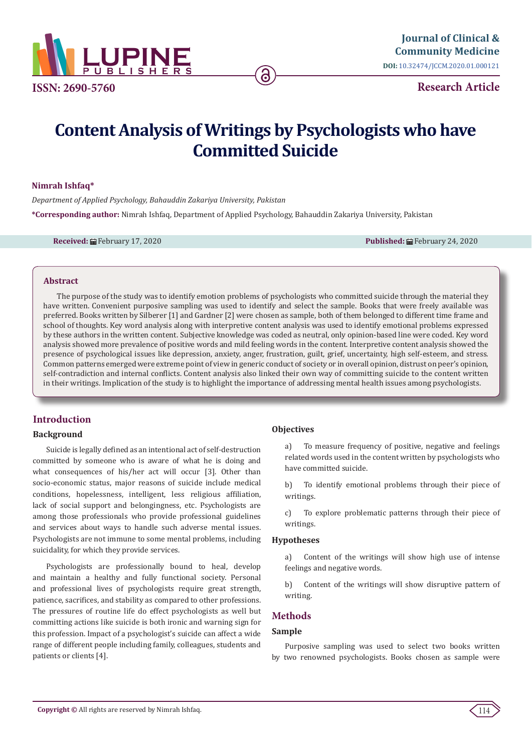

**ISSN: 2690-5760**

**Research Article**

# **Content Analysis of Writings by Psychologists who have Committed Suicide**

## **Nimrah Ishfaq\***

*Department of Applied Psychology, Bahauddin Zakariya University, Pakistan* **\*Corresponding author:** Nimrah Ishfaq, Department of Applied Psychology, Bahauddin Zakariya University, Pakistan

**Received:** February 17, 2020 **Published:** February 24, 2020

## **Abstract**

The purpose of the study was to identify emotion problems of psychologists who committed suicide through the material they have written. Convenient purposive sampling was used to identify and select the sample. Books that were freely available was preferred. Books written by Silberer [1] and Gardner [2] were chosen as sample, both of them belonged to different time frame and school of thoughts. Key word analysis along with interpretive content analysis was used to identify emotional problems expressed by these authors in the written content. Subjective knowledge was coded as neutral, only opinion-based line were coded. Key word analysis showed more prevalence of positive words and mild feeling words in the content. Interpretive content analysis showed the presence of psychological issues like depression, anxiety, anger, frustration, guilt, grief, uncertainty, high self-esteem, and stress. Common patterns emerged were extreme point of view in generic conduct of society or in overall opinion, distrust on peer's opinion, self-contradiction and internal conflicts. Content analysis also linked their own way of committing suicide to the content written in their writings. Implication of the study is to highlight the importance of addressing mental health issues among psychologists.

# **Introduction**

## **Background**

Suicide is legally defined as an intentional act of self-destruction committed by someone who is aware of what he is doing and what consequences of his/her act will occur [3]. Other than socio-economic status, major reasons of suicide include medical conditions, hopelessness, intelligent, less religious affiliation, lack of social support and belongingness, etc. Psychologists are among those professionals who provide professional guidelines and services about ways to handle such adverse mental issues. Psychologists are not immune to some mental problems, including suicidality, for which they provide services.

Psychologists are professionally bound to heal, develop and maintain a healthy and fully functional society. Personal and professional lives of psychologists require great strength, patience, sacrifices, and stability as compared to other professions. The pressures of routine life do effect psychologists as well but committing actions like suicide is both ironic and warning sign for this profession. Impact of a psychologist's suicide can affect a wide range of different people including family, colleagues, students and patients or clients [4].

## **Objectives**

a) To measure frequency of positive, negative and feelings related words used in the content written by psychologists who have committed suicide.

b) To identify emotional problems through their piece of writings.

c) To explore problematic patterns through their piece of writings.

## **Hypotheses**

a) Content of the writings will show high use of intense feelings and negative words.

b) Content of the writings will show disruptive pattern of writing.

# **Methods**

## **Sample**

Purposive sampling was used to select two books written by two renowned psychologists. Books chosen as sample were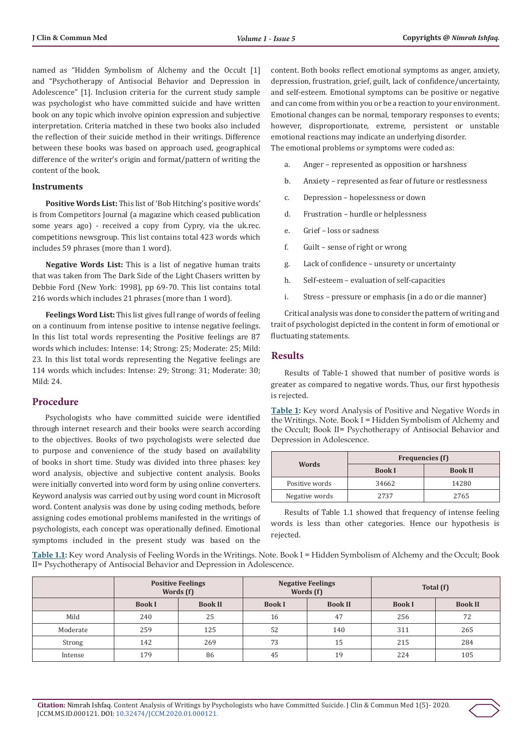named as "Hidden Symbolism of Alchemy and the Occult [1] and "Psychotherapy of Antisocial Behavior and Depression in Adolescence" [1]. Inclusion criteria for the current study sample was psychologist who have committed suicide and have written book on any topic which involve opinion expression and subjective interpretation. Criteria matched in these two books also included the reflection of their suicide method in their writings. Difference between these books was based on approach used, geographical difference of the writer's origin and format/pattern of writing the content of the book.

#### **Instruments**

**Positive Words List:** This list of 'Bob Hitching's positive words' is from Competitors Journal (a magazine which ceased publication some years ago) - received a copy from Cypry, via the uk.rec. competitions newsgroup. This list contains total 423 words which includes 59 phrases (more than 1 word).

**Negative Words List:** This is a list of negative human traits that was taken from The Dark Side of the Light Chasers written by Debbie Ford (New York: 1998), pp 69-70. This list contains total 216 words which includes 21 phrases (more than 1 word).

**Feelings Word List:** This list gives full range of words of feeling on a continuum from intense positive to intense negative feelings. In this list total words representing the Positive feelings are 87 words which includes: Intense: 14; Strong: 25; Moderate: 25; Mild: 23. In this list total words representing the Negative feelings are 114 words which includes: Intense: 29; Strong: 31; Moderate: 30; Mild: 24.

#### **Procedure**

Psychologists who have committed suicide were identified through internet research and their books were search according to the objectives. Books of two psychologists were selected due to purpose and convenience of the study based on availability of books in short time. Study was divided into three phases: key word analysis, objective and subjective content analysis. Books were initially converted into word form by using online converters. Keyword analysis was carried out by using word count in Microsoft word. Content analysis was done by using coding methods, before assigning codes emotional problems manifested in the writings of psychologists, each concept was operationally defined. Emotional symptoms included in the present study was based on the

content. Both books reflect emotional symptoms as anger, anxiety, depression, frustration, grief, guilt, lack of confidence/uncertainty, and self-esteem. Emotional symptoms can be positive or negative and can come from within you or be a reaction to your environment. Emotional changes can be normal, temporary responses to events; however, disproportionate, extreme, persistent or unstable emotional reactions may indicate an underlying disorder. The emotional problems or symptoms were coded as:

- a. Anger represented as opposition or harshness
- b. Anxiety represented as fear of future or restlessness
- c. Depression hopelessness or down
- d. Frustration hurdle or helplessness
- e. Grief loss or sadness
- f. Guilt sense of right or wrong
- g. Lack of confidence unsurety or uncertainty
- h. Self-esteem evaluation of self-capacities
- i. Stress pressure or emphasis (in a do or die manner)

Critical analysis was done to consider the pattern of writing and trait of psychologist depicted in the content in form of emotional or fluctuating statements.

#### **Results**

Results of Table-1 showed that number of positive words is greater as compared to negative words. Thus, our first hypothesis is rejected.

**Table 1:** Key word Analysis of Positive and Negative Words in the Writings. Note. Book I = Hidden Symbolism of Alchemy and the Occult; Book II= Psychotherapy of Antisocial Behavior and Depression in Adolescence.

| Words          | Frequencies (f) |                |  |  |
|----------------|-----------------|----------------|--|--|
|                | <b>Book I</b>   | <b>Book II</b> |  |  |
| Positive words | 34662           | 14280          |  |  |
| Negative words | 2737            | 2765           |  |  |

Results of Table 1.1 showed that frequency of intense feeling words is less than other categories. Hence our hypothesis is rejected.

**Table 1.1:** Key word Analysis of Feeling Words in the Writings. Note. Book I = Hidden Symbolism of Alchemy and the Occult; Book II= Psychotherapy of Antisocial Behavior and Depression in Adolescence.

|          | <b>Positive Feelings</b><br>Words $(f)$ |                | <b>Negative Feelings</b><br>Words (f) |                | Total (f)     |                |
|----------|-----------------------------------------|----------------|---------------------------------------|----------------|---------------|----------------|
|          | <b>Book I</b>                           | <b>Book II</b> | <b>Book I</b>                         | <b>Book II</b> | <b>Book I</b> | <b>Book II</b> |
| Mild     | 240                                     | 25             | 16                                    | 47             | 256           | 72             |
| Moderate | 259                                     | 125            | 52                                    | 140            | 311           | 265            |
| Strong   | 142                                     | 269            | 73                                    | 15             | 215           | 284            |
| Intense  | 179                                     | 86             | 45                                    | 19             | 224           | 105            |

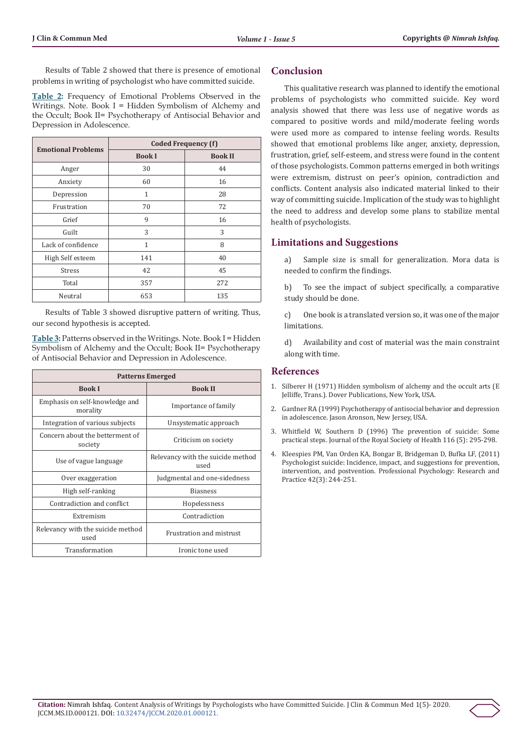Results of Table 2 showed that there is presence of emotional problems in writing of psychologist who have committed suicide.

**Table 2:** Frequency of Emotional Problems Observed in the Writings. Note. Book I = Hidden Symbolism of Alchemy and the Occult; Book II= Psychotherapy of Antisocial Behavior and Depression in Adolescence.

| <b>Emotional Problems</b> | Coded Frequency (f) |                |  |  |
|---------------------------|---------------------|----------------|--|--|
|                           | <b>Book I</b>       | <b>Book II</b> |  |  |
| Anger                     | 30                  | 44             |  |  |
| Anxiety                   | 60                  | 16             |  |  |
| Depression                | 1                   | 28             |  |  |
| Frustration               | 70                  | 72             |  |  |
| Grief                     | 9                   | 16             |  |  |
| Guilt                     | 3                   | 3              |  |  |
| Lack of confidence        | 1                   | 8              |  |  |
| High Self esteem          | 141                 | 40             |  |  |
| <b>Stress</b>             | 42                  | 45             |  |  |
| Total                     | 357                 | 272            |  |  |
| Neutral                   | 653                 | 135            |  |  |

Results of Table 3 showed disruptive pattern of writing. Thus, our second hypothesis is accepted.

Table 3: Patterns observed in the Writings. Note. Book I = Hidden Symbolism of Alchemy and the Occult; Book II= Psychotherapy of Antisocial Behavior and Depression in Adolescence.

| <b>Patterns Emerged</b>                    |                                           |  |  |  |
|--------------------------------------------|-------------------------------------------|--|--|--|
| <b>Book I</b>                              | <b>Book II</b>                            |  |  |  |
| Emphasis on self-knowledge and<br>morality | Importance of family                      |  |  |  |
| Integration of various subjects            | Unsystematic approach                     |  |  |  |
| Concern about the betterment of<br>society | Criticism on society                      |  |  |  |
| Use of vague language                      | Relevancy with the suicide method<br>used |  |  |  |
| Over exaggeration                          | Judgmental and one-sidedness              |  |  |  |
| High self-ranking                          | <b>Biasness</b>                           |  |  |  |
| Contradiction and conflict                 | Hopelessness                              |  |  |  |
| Extremism                                  | Contradiction                             |  |  |  |
| Relevancy with the suicide method<br>used  | Frustration and mistrust                  |  |  |  |
| Transformation                             | Ironic tone used                          |  |  |  |

## **Conclusion**

This qualitative research was planned to identify the emotional problems of psychologists who committed suicide. Key word analysis showed that there was less use of negative words as compared to positive words and mild/moderate feeling words were used more as compared to intense feeling words. Results showed that emotional problems like anger, anxiety, depression, frustration, grief, self-esteem, and stress were found in the content of those psychologists. Common patterns emerged in both writings were extremism, distrust on peer's opinion, contradiction and conflicts. Content analysis also indicated material linked to their way of committing suicide. Implication of the study was to highlight the need to address and develop some plans to stabilize mental health of psychologists.

# **Limitations and Suggestions**

a) Sample size is small for generalization. Mora data is needed to confirm the findings.

b) To see the impact of subject specifically, a comparative study should be done.

c) One book is a translated version so, it was one of the major limitations.

d) Availability and cost of material was the main constraint along with time.

## **References**

- 1. Silberer H (1971) Hidden symbolism of alchemy and the occult arts (E Jelliffe, Trans.). Dover Publications, New York, USA.
- 2. Gardner RA (1999) Psychotherapy of antisocial behavior and depression in adolescence. Jason Aronson, New Jersey, USA.
- 3. Whitfield W, Southern D (1996) The prevention of suicide: Some practical steps. Journal of the Royal Society of Health 116 (5): 295-298.
- 4. [Kleespies PM, Van Orden KA, Bongar B, Bridgeman D, Bufka LF, \(2011\)](https://www.ncbi.nlm.nih.gov/pubmed/21731175) [Psychologist suicide: Incidence, impact, and suggestions for prevention,](https://www.ncbi.nlm.nih.gov/pubmed/21731175) [intervention, and postvention. Professional Psychology: Research and](https://www.ncbi.nlm.nih.gov/pubmed/21731175) [Practice 42\(3\): 244-251.](https://www.ncbi.nlm.nih.gov/pubmed/21731175)